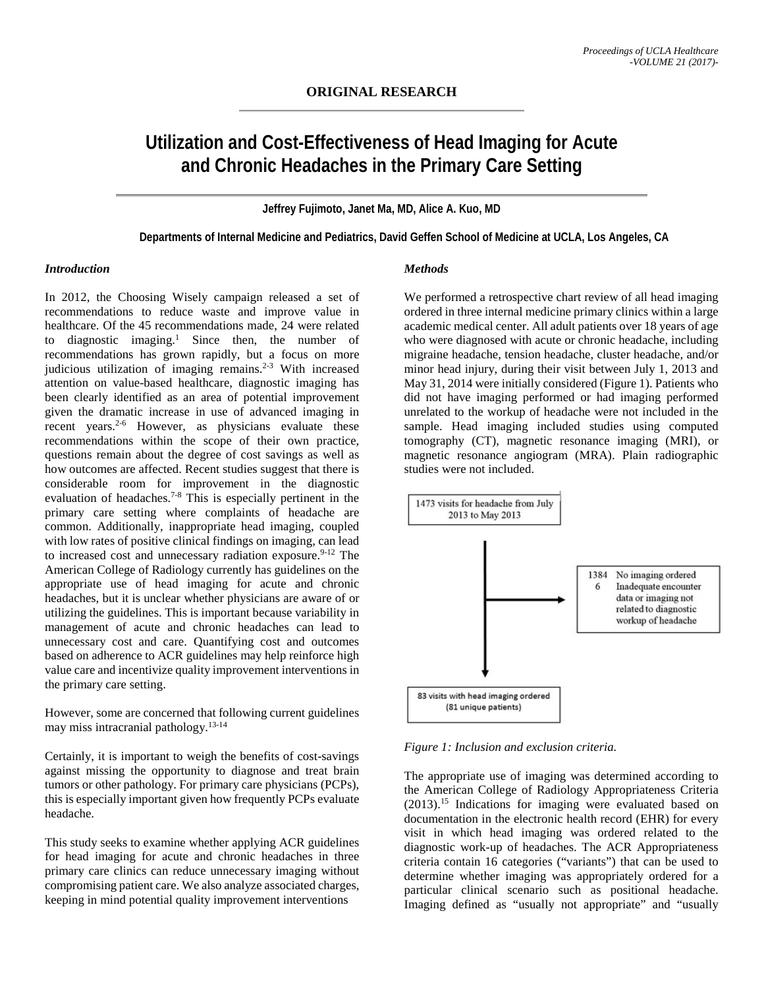# **Utilization and Cost-Effectiveness of Head Imaging for Acute and Chronic Headaches in the Primary Care Setting**

**Jeffrey Fujimoto, Janet Ma, MD, Alice A. Kuo, MD**

**Departments of Internal Medicine and Pediatrics, David Geffen School of Medicine at UCLA, Los Angeles, CA**

#### *Introduction*

In 2012, the Choosing Wisely campaign released a set of recommendations to reduce waste and improve value in healthcare. Of the 45 recommendations made, 24 were related to diagnostic imaging.1 Since then, the number of recommendations has grown rapidly, but a focus on more judicious utilization of imaging remains.<sup>2-3</sup> With increased attention on value-based healthcare, diagnostic imaging has been clearly identified as an area of potential improvement given the dramatic increase in use of advanced imaging in recent years.<sup>2-6</sup> However, as physicians evaluate these recommendations within the scope of their own practice, questions remain about the degree of cost savings as well as how outcomes are affected. Recent studies suggest that there is considerable room for improvement in the diagnostic evaluation of headaches.7-8 This is especially pertinent in the primary care setting where complaints of headache are common. Additionally, inappropriate head imaging, coupled with low rates of positive clinical findings on imaging, can lead to increased cost and unnecessary radiation exposure.<sup>9-12</sup> The American College of Radiology currently has guidelines on the appropriate use of head imaging for acute and chronic headaches, but it is unclear whether physicians are aware of or utilizing the guidelines. This is important because variability in management of acute and chronic headaches can lead to unnecessary cost and care. Quantifying cost and outcomes based on adherence to ACR guidelines may help reinforce high value care and incentivize quality improvement interventions in the primary care setting.

However, some are concerned that following current guidelines may miss intracranial pathology.13-14

Certainly, it is important to weigh the benefits of cost-savings against missing the opportunity to diagnose and treat brain tumors or other pathology. For primary care physicians (PCPs), this is especially important given how frequently PCPs evaluate headache.

This study seeks to examine whether applying ACR guidelines for head imaging for acute and chronic headaches in three primary care clinics can reduce unnecessary imaging without compromising patient care. We also analyze associated charges, keeping in mind potential quality improvement interventions

#### *Methods*

We performed a retrospective chart review of all head imaging ordered in three internal medicine primary clinics within a large academic medical center. All adult patients over 18 years of age who were diagnosed with acute or chronic headache, including migraine headache, tension headache, cluster headache, and/or minor head injury, during their visit between July 1, 2013 and May 31, 2014 were initially considered (Figure 1). Patients who did not have imaging performed or had imaging performed unrelated to the workup of headache were not included in the sample. Head imaging included studies using computed tomography (CT), magnetic resonance imaging (MRI), or magnetic resonance angiogram (MRA). Plain radiographic studies were not included.



*Figure 1: Inclusion and exclusion criteria.*

The appropriate use of imaging was determined according to the American College of Radiology Appropriateness Criteria (2013).15 Indications for imaging were evaluated based on documentation in the electronic health record (EHR) for every visit in which head imaging was ordered related to the diagnostic work-up of headaches. The ACR Appropriateness criteria contain 16 categories ("variants") that can be used to determine whether imaging was appropriately ordered for a particular clinical scenario such as positional headache. Imaging defined as "usually not appropriate" and "usually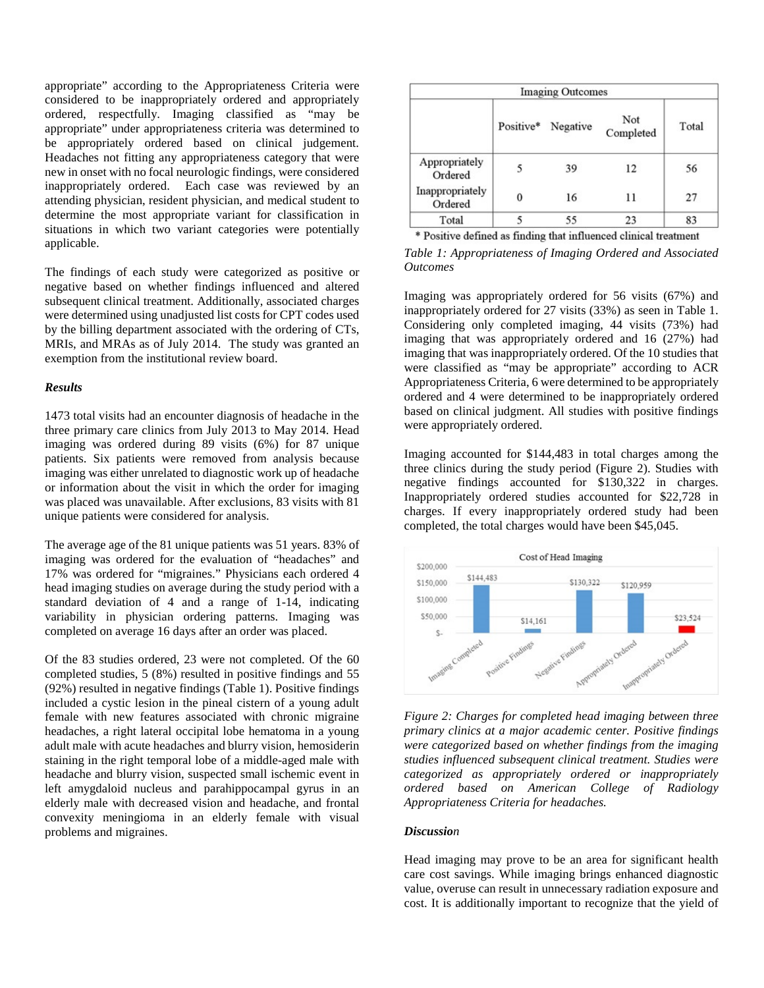appropriate" according to the Appropriateness Criteria were considered to be inappropriately ordered and appropriately ordered, respectfully. Imaging classified as "may be appropriate" under appropriateness criteria was determined to be appropriately ordered based on clinical judgement. Headaches not fitting any appropriateness category that were new in onset with no focal neurologic findings, were considered inappropriately ordered. Each case was reviewed by an attending physician, resident physician, and medical student to determine the most appropriate variant for classification in situations in which two variant categories were potentially applicable.

The findings of each study were categorized as positive or negative based on whether findings influenced and altered subsequent clinical treatment. Additionally, associated charges were determined using unadjusted list costs for CPT codes used by the billing department associated with the ordering of CTs, MRIs, and MRAs as of July 2014. The study was granted an exemption from the institutional review board.

### *Results*

1473 total visits had an encounter diagnosis of headache in the three primary care clinics from July 2013 to May 2014. Head imaging was ordered during 89 visits (6%) for 87 unique patients. Six patients were removed from analysis because imaging was either unrelated to diagnostic work up of headache or information about the visit in which the order for imaging was placed was unavailable. After exclusions, 83 visits with 81 unique patients were considered for analysis.

The average age of the 81 unique patients was 51 years. 83% of imaging was ordered for the evaluation of "headaches" and 17% was ordered for "migraines." Physicians each ordered 4 head imaging studies on average during the study period with a standard deviation of 4 and a range of 1-14, indicating variability in physician ordering patterns. Imaging was completed on average 16 days after an order was placed.

Of the 83 studies ordered, 23 were not completed. Of the 60 completed studies, 5 (8%) resulted in positive findings and 55 (92%) resulted in negative findings (Table 1). Positive findings included a cystic lesion in the pineal cistern of a young adult female with new features associated with chronic migraine headaches, a right lateral occipital lobe hematoma in a young adult male with acute headaches and blurry vision, hemosiderin staining in the right temporal lobe of a middle-aged male with headache and blurry vision, suspected small ischemic event in left amygdaloid nucleus and parahippocampal gyrus in an elderly male with decreased vision and headache, and frontal convexity meningioma in an elderly female with visual problems and migraines.

| <b>Imaging Outcomes</b>    |   |                    |                  |       |
|----------------------------|---|--------------------|------------------|-------|
|                            |   | Positive* Negative | Not<br>Completed | Total |
| Appropriately<br>Ordered   | 5 | 39                 | 12               | 56    |
| Inappropriately<br>Ordered |   | 16                 | 11               | 27    |
| Total                      |   | 55                 | 23               | 83    |

\* Positive defined as finding that influenced clinical treatment

*Table 1: Appropriateness of Imaging Ordered and Associated Outcomes*

Imaging was appropriately ordered for 56 visits (67%) and inappropriately ordered for 27 visits (33%) as seen in Table 1. Considering only completed imaging, 44 visits (73%) had imaging that was appropriately ordered and 16 (27%) had imaging that was inappropriately ordered. Of the 10 studies that were classified as "may be appropriate" according to ACR Appropriateness Criteria, 6 were determined to be appropriately ordered and 4 were determined to be inappropriately ordered based on clinical judgment. All studies with positive findings were appropriately ordered.

Imaging accounted for \$144,483 in total charges among the three clinics during the study period (Figure 2). Studies with negative findings accounted for \$130,322 in charges. Inappropriately ordered studies accounted for \$22,728 in charges. If every inappropriately ordered study had been completed, the total charges would have been \$45,045.



*Figure 2: Charges for completed head imaging between three primary clinics at a major academic center. Positive findings were categorized based on whether findings from the imaging studies influenced subsequent clinical treatment. Studies were categorized as appropriately ordered or inappropriately ordered based on American College of Radiology Appropriateness Criteria for headaches.*

#### *Discussion*

Head imaging may prove to be an area for significant health care cost savings. While imaging brings enhanced diagnostic value, overuse can result in unnecessary radiation exposure and cost. It is additionally important to recognize that the yield of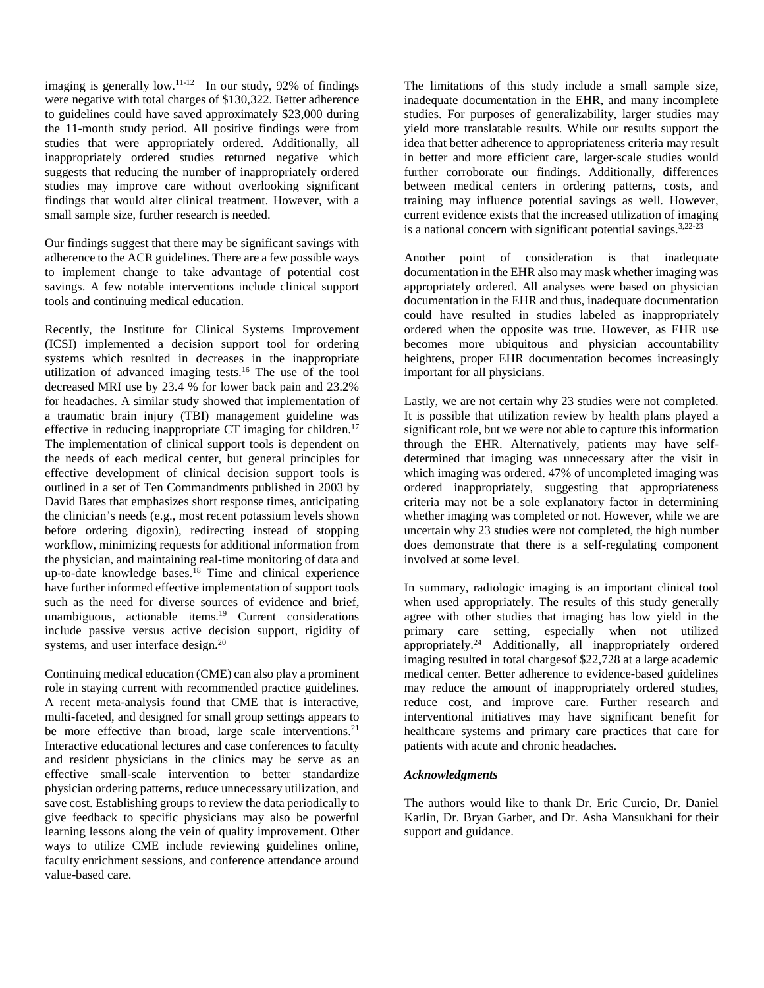imaging is generally  $low.^{11-12}$  In our study, 92% of findings were negative with total charges of \$130,322. Better adherence to guidelines could have saved approximately \$23,000 during the 11-month study period. All positive findings were from studies that were appropriately ordered. Additionally, all inappropriately ordered studies returned negative which suggests that reducing the number of inappropriately ordered studies may improve care without overlooking significant findings that would alter clinical treatment. However, with a small sample size, further research is needed.

Our findings suggest that there may be significant savings with adherence to the ACR guidelines. There are a few possible ways to implement change to take advantage of potential cost savings. A few notable interventions include clinical support tools and continuing medical education.

Recently, the Institute for Clinical Systems Improvement (ICSI) implemented a decision support tool for ordering systems which resulted in decreases in the inappropriate utilization of advanced imaging tests.<sup>16</sup> The use of the tool decreased MRI use by 23.4 % for lower back pain and 23.2% for headaches. A similar study showed that implementation of a traumatic brain injury (TBI) management guideline was effective in reducing inappropriate CT imaging for children.<sup>17</sup> The implementation of clinical support tools is dependent on the needs of each medical center, but general principles for effective development of clinical decision support tools is outlined in a set of Ten Commandments published in 2003 by David Bates that emphasizes short response times, anticipating the clinician's needs (e.g., most recent potassium levels shown before ordering digoxin), redirecting instead of stopping workflow, minimizing requests for additional information from the physician, and maintaining real-time monitoring of data and up-to-date knowledge bases.<sup>18</sup> Time and clinical experience have further informed effective implementation of support tools such as the need for diverse sources of evidence and brief, unambiguous, actionable items.<sup>19</sup> Current considerations include passive versus active decision support, rigidity of systems, and user interface design.<sup>20</sup>

Continuing medical education (CME) can also play a prominent role in staying current with recommended practice guidelines. A recent meta-analysis found that CME that is interactive, multi-faceted, and designed for small group settings appears to be more effective than broad, large scale interventions.<sup>21</sup> Interactive educational lectures and case conferences to faculty and resident physicians in the clinics may be serve as an effective small-scale intervention to better standardize physician ordering patterns, reduce unnecessary utilization, and save cost. Establishing groups to review the data periodically to give feedback to specific physicians may also be powerful learning lessons along the vein of quality improvement. Other ways to utilize CME include reviewing guidelines online, faculty enrichment sessions, and conference attendance around value-based care.

The limitations of this study include a small sample size, inadequate documentation in the EHR, and many incomplete studies. For purposes of generalizability, larger studies may yield more translatable results. While our results support the idea that better adherence to appropriateness criteria may result in better and more efficient care, larger-scale studies would further corroborate our findings. Additionally, differences between medical centers in ordering patterns, costs, and training may influence potential savings as well. However, current evidence exists that the increased utilization of imaging is a national concern with significant potential savings.<sup>3,22-23</sup>

Another point of consideration is that inadequate documentation in the EHR also may mask whether imaging was appropriately ordered. All analyses were based on physician documentation in the EHR and thus, inadequate documentation could have resulted in studies labeled as inappropriately ordered when the opposite was true. However, as EHR use becomes more ubiquitous and physician accountability heightens, proper EHR documentation becomes increasingly important for all physicians.

Lastly, we are not certain why 23 studies were not completed. It is possible that utilization review by health plans played a significant role, but we were not able to capture this information through the EHR. Alternatively, patients may have selfdetermined that imaging was unnecessary after the visit in which imaging was ordered. 47% of uncompleted imaging was ordered inappropriately, suggesting that appropriateness criteria may not be a sole explanatory factor in determining whether imaging was completed or not. However, while we are uncertain why 23 studies were not completed, the high number does demonstrate that there is a self-regulating component involved at some level.

In summary, radiologic imaging is an important clinical tool when used appropriately. The results of this study generally agree with other studies that imaging has low yield in the primary care setting, especially when not utilized appropriately.<sup>24</sup> Additionally, all inappropriately ordered imaging resulted in total chargesof \$22,728 at a large academic medical center. Better adherence to evidence-based guidelines may reduce the amount of inappropriately ordered studies, reduce cost, and improve care. Further research and interventional initiatives may have significant benefit for healthcare systems and primary care practices that care for patients with acute and chronic headaches.

## *Acknowledgments*

The authors would like to thank Dr. Eric Curcio, Dr. Daniel Karlin, Dr. Bryan Garber, and Dr. Asha Mansukhani for their support and guidance.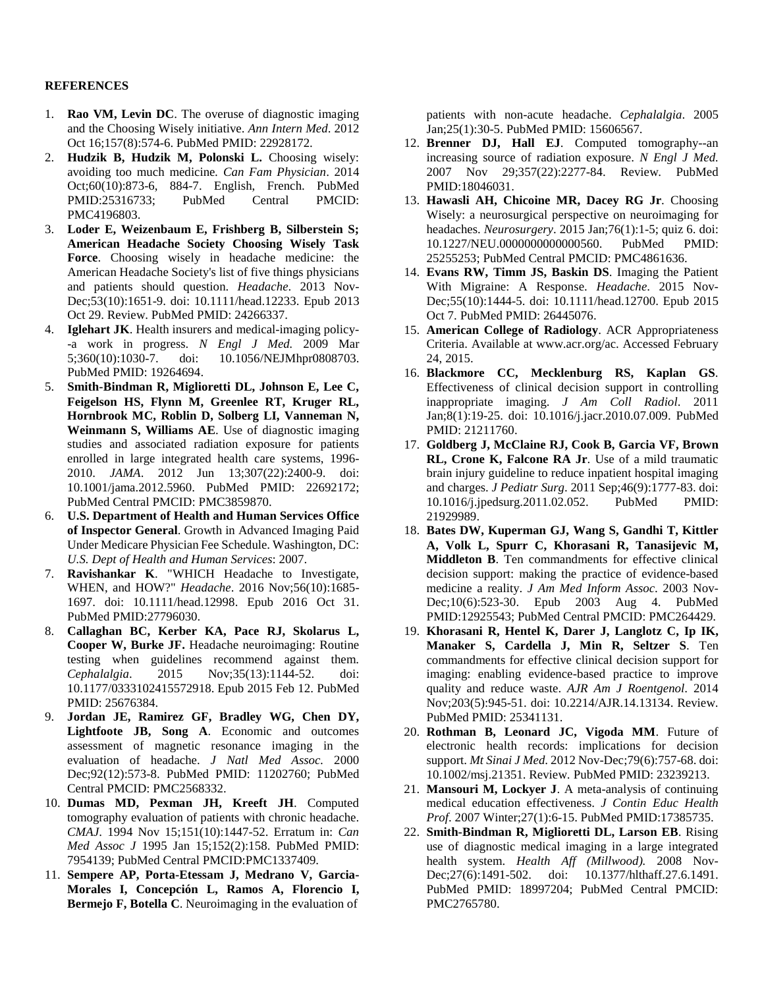## **REFERENCES**

- 1. **Rao VM, Levin DC**. The overuse of diagnostic imaging and the Choosing Wisely initiative. *Ann Intern Med*. 2012 Oct 16;157(8):574-6. PubMed PMID: 22928172.
- 2. **Hudzik B, Hudzik M, Polonski L.** Choosing wisely: avoiding too much medicine*. Can Fam Physician*. 2014 Oct;60(10):873-6, 884-7. English, French. PubMed PMID:25316733; PubMed Central PMCID: PMC4196803.
- 3. **Loder E, Weizenbaum E, Frishberg B, Silberstein S; American Headache Society Choosing Wisely Task Force**. Choosing wisely in headache medicine: the American Headache Society's list of five things physicians and patients should question. *Headache*. 2013 Nov-Dec;53(10):1651-9. doi: 10.1111/head.12233. Epub 2013 Oct 29. Review. PubMed PMID: 24266337.
- 4. **Iglehart JK**. Health insurers and medical-imaging policy- -a work in progress. *N Engl J Med.* 2009 Mar 5;360(10):1030-7. doi: 10.1056/NEJMhpr0808703. PubMed PMID: 19264694.
- 5. **Smith-Bindman R, Miglioretti DL, Johnson E, Lee C, Feigelson HS, Flynn M, Greenlee RT, Kruger RL, Hornbrook MC, Roblin D, Solberg LI, Vanneman N, Weinmann S, Williams AE**. Use of diagnostic imaging studies and associated radiation exposure for patients enrolled in large integrated health care systems, 1996- 2010. *JAMA*. 2012 Jun 13;307(22):2400-9. doi: 10.1001/jama.2012.5960. PubMed PMID: 22692172; PubMed Central PMCID: PMC3859870.
- 6. **U.S. Department of Health and Human Services Office of Inspector General**. Growth in Advanced Imaging Paid Under Medicare Physician Fee Schedule. Washington, DC: *U.S. Dept of Health and Human Services*: 2007.
- 7. **Ravishankar K**. "WHICH Headache to Investigate, WHEN, and HOW?" *Headache*. 2016 Nov;56(10):1685- 1697. doi: 10.1111/head.12998. Epub 2016 Oct 31. PubMed PMID:27796030.
- 8. **Callaghan BC, Kerber KA, Pace RJ, Skolarus L, Cooper W, Burke JF.** Headache neuroimaging: Routine testing when guidelines recommend against them. *Cephalalgia*. 2015 Nov;35(13):1144-52. doi: 10.1177/0333102415572918. Epub 2015 Feb 12. PubMed PMID: 25676384.
- 9. **Jordan JE, Ramirez GF, Bradley WG, Chen DY, Lightfoote JB, Song A**. Economic and outcomes assessment of magnetic resonance imaging in the evaluation of headache. *J Natl Med Assoc.* 2000 Dec;92(12):573-8. PubMed PMID: 11202760; PubMed Central PMCID: PMC2568332.
- 10. **Dumas MD, Pexman JH, Kreeft JH**. Computed tomography evaluation of patients with chronic headache. *CMAJ*. 1994 Nov 15;151(10):1447-52. Erratum in: *Can Med Assoc J* 1995 Jan 15;152(2):158. PubMed PMID: 7954139; PubMed Central PMCID:PMC1337409.
- 11. **Sempere AP, Porta-Etessam J, Medrano V, Garcia-Morales I, Concepción L, Ramos A, Florencio I, Bermejo F, Botella C**. Neuroimaging in the evaluation of

patients with non-acute headache. *Cephalalgia*. 2005 Jan;25(1):30-5. PubMed PMID: 15606567.

- 12. **Brenner DJ, Hall EJ**. Computed tomography--an increasing source of radiation exposure. *N Engl J Med.* 2007 Nov 29;357(22):2277-84. Review. PubMed PMID:18046031.
- 13. **Hawasli AH, Chicoine MR, Dacey RG Jr**. Choosing Wisely: a neurosurgical perspective on neuroimaging for headaches. *Neurosurgery*. 2015 Jan;76(1):1-5; quiz 6. doi: 10.1227/NEU.0000000000000560. PubMed PMID: 25255253; PubMed Central PMCID: PMC4861636.
- 14. **Evans RW, Timm JS, Baskin DS**. Imaging the Patient With Migraine: A Response. *Headache*. 2015 Nov-Dec;55(10):1444-5. doi: 10.1111/head.12700. Epub 2015 Oct 7. PubMed PMID: 26445076.
- 15. **American College of Radiology**. ACR Appropriateness Criteria. Available at www.acr.org/ac. Accessed February 24, 2015.
- 16. **Blackmore CC, Mecklenburg RS, Kaplan GS**. Effectiveness of clinical decision support in controlling inappropriate imaging. *J Am Coll Radiol*. 2011 Jan;8(1):19-25. doi: 10.1016/j.jacr.2010.07.009. PubMed PMID: 21211760.
- 17. **Goldberg J, McClaine RJ, Cook B, Garcia VF, Brown RL, Crone K, Falcone RA Jr**. Use of a mild traumatic brain injury guideline to reduce inpatient hospital imaging and charges. *J Pediatr Surg*. 2011 Sep;46(9):1777-83. doi: 10.1016/j.jpedsurg.2011.02.052. PubMed PMID: 21929989.
- 18. **Bates DW, Kuperman GJ, Wang S, Gandhi T, Kittler A, Volk L, Spurr C, Khorasani R, Tanasijevic M, Middleton B**. Ten commandments for effective clinical decision support: making the practice of evidence-based medicine a reality. *J Am Med Inform Assoc*. 2003 Nov-Dec;10(6):523-30. Epub 2003 Aug 4. PubMed PMID:12925543; PubMed Central PMCID: PMC264429.
- 19. **Khorasani R, Hentel K, Darer J, Langlotz C, Ip IK, Manaker S, Cardella J, Min R, Seltzer S**. Ten commandments for effective clinical decision support for imaging: enabling evidence-based practice to improve quality and reduce waste. *AJR Am J Roentgenol*. 2014 Nov;203(5):945-51. doi: 10.2214/AJR.14.13134. Review. PubMed PMID: 25341131.
- 20. **Rothman B, Leonard JC, Vigoda MM**. Future of electronic health records: implications for decision support. *Mt Sinai J Med*. 2012 Nov-Dec;79(6):757-68. doi: 10.1002/msj.21351. Review. PubMed PMID: 23239213.
- 21. **Mansouri M, Lockyer J**. A meta-analysis of continuing medical education effectiveness. *J Contin Educ Health Prof*. 2007 Winter;27(1):6-15. PubMed PMID:17385735.
- 22. **Smith-Bindman R, Miglioretti DL, Larson EB**. Rising use of diagnostic medical imaging in a large integrated health system. *Health Aff (Millwood).* 2008 Nov-Dec;27(6):1491-502. doi: 10.1377/hlthaff.27.6.1491. PubMed PMID: 18997204; PubMed Central PMCID: PMC2765780.